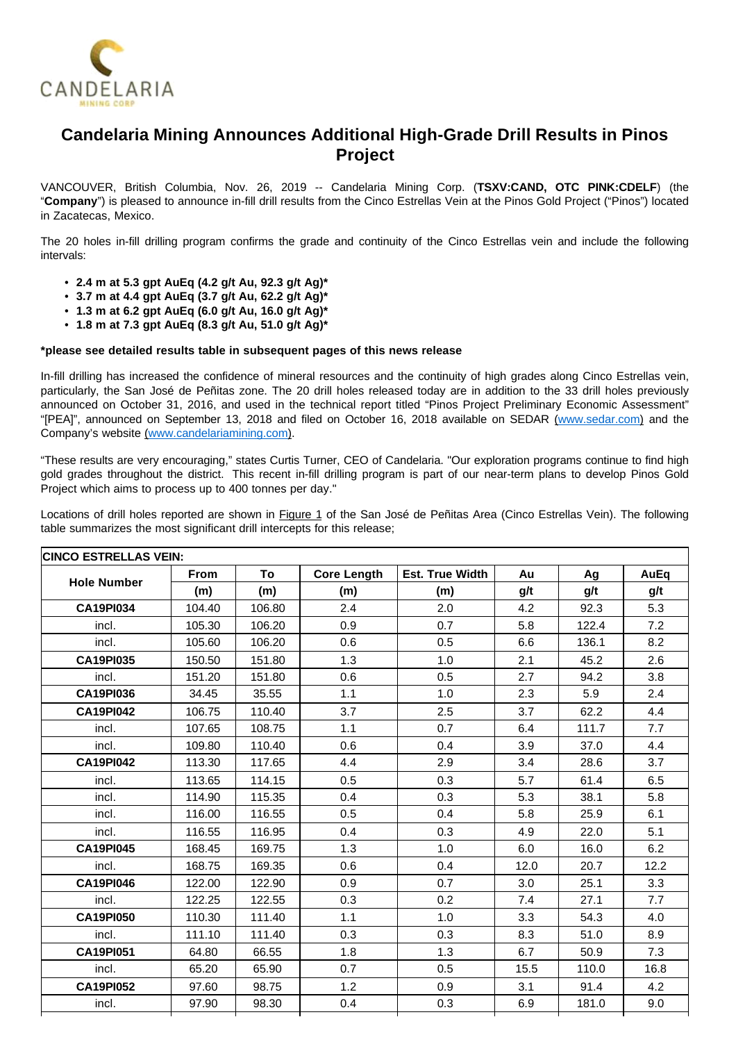

# **Candelaria Mining Announces Additional High-Grade Drill Results in Pinos Project**

VANCOUVER, British Columbia, Nov. 26, 2019 -- Candelaria Mining Corp. (**TSXV:CAND, OTC PINK:CDELF**) (the "**Company**") is pleased to announce in-fill drill results from the Cinco Estrellas Vein at the Pinos Gold Project ("Pinos") located in Zacatecas, Mexico.

The 20 holes in-fill drilling program confirms the grade and continuity of the Cinco Estrellas vein and include the following intervals:

- **2.4 m at 5.3 gpt AuEq (4.2 g/t Au, 92.3 g/t Ag)\***
- **3.7 m at 4.4 gpt AuEq (3.7 g/t Au, 62.2 g/t Ag)\***
- **1.3 m at 6.2 gpt AuEq (6.0 g/t Au, 16.0 g/t Ag)\***
- **1.8 m at 7.3 gpt AuEq (8.3 g/t Au, 51.0 g/t Ag)\***

### **\*please see detailed results table in subsequent pages of this news release**

In-fill drilling has increased the confidence of mineral resources and the continuity of high grades along Cinco Estrellas vein, particularly, the San José de Peñitas zone. The 20 drill holes released today are in addition to the 33 drill holes previously announced on October 31, 2016, and used in the technical report titled "Pinos Project Preliminary Economic Assessment" "[PEA]", announced on September 13, 2018 and filed on October 16, 2018 available on SEDAR [\(www.sedar.com](http://www.sedar.com/)) and the Company's website ([www.candelariamining.com\)](http://www.candelariamining.com/).

"These results are very encouraging," states Curtis Turner, CEO of Candelaria. "Our exploration programs continue to find high gold grades throughout the district. This recent in-fill drilling program is part of our near-term plans to develop Pinos Gold Project which aims to process up to 400 tonnes per day."

Locations of drill holes reported are shown in Figure 1 of the San José de Peñitas Area (Cinco Estrellas Vein). The following table summarizes the most significant drill intercepts for this release;

| <b>CINCO ESTRELLAS VEIN:</b> |             |        |                    |                        |      |       |      |  |  |  |
|------------------------------|-------------|--------|--------------------|------------------------|------|-------|------|--|--|--|
| <b>Hole Number</b>           | <b>From</b> | To     | <b>Core Length</b> | <b>Est. True Width</b> | Au   | Ag    | AuEq |  |  |  |
|                              | (m)         | (m)    | (m)                | (m)                    | g/t  | g/t   | g/t  |  |  |  |
| <b>CA19PI034</b>             | 104.40      | 106.80 | 2.4                | 2.0                    | 4.2  | 92.3  | 5.3  |  |  |  |
| incl.                        | 105.30      | 106.20 | 0.9                | 0.7                    | 5.8  | 122.4 | 7.2  |  |  |  |
| incl.                        | 105.60      | 106.20 | 0.6                | 0.5                    | 6.6  | 136.1 | 8.2  |  |  |  |
| <b>CA19PI035</b>             | 150.50      | 151.80 | 1.3                | 1.0                    | 2.1  | 45.2  | 2.6  |  |  |  |
| incl.                        | 151.20      | 151.80 | 0.6                | 0.5                    | 2.7  | 94.2  | 3.8  |  |  |  |
| <b>CA19PI036</b>             | 34.45       | 35.55  | 1.1                | 1.0                    | 2.3  | 5.9   | 2.4  |  |  |  |
| <b>CA19PI042</b>             | 106.75      | 110.40 | 3.7                | 2.5                    | 3.7  | 62.2  | 4.4  |  |  |  |
| incl.                        | 107.65      | 108.75 | 1.1                | 0.7                    | 6.4  | 111.7 | 7.7  |  |  |  |
| incl.                        | 109.80      | 110.40 | 0.6                | 0.4                    | 3.9  | 37.0  | 4.4  |  |  |  |
| <b>CA19PI042</b>             | 113.30      | 117.65 | 4.4                | 2.9                    | 3.4  | 28.6  | 3.7  |  |  |  |
| incl.                        | 113.65      | 114.15 | 0.5                | 0.3                    | 5.7  | 61.4  | 6.5  |  |  |  |
| incl.                        | 114.90      | 115.35 | 0.4                | 0.3                    | 5.3  | 38.1  | 5.8  |  |  |  |
| incl.                        | 116.00      | 116.55 | 0.5                | 0.4                    | 5.8  | 25.9  | 6.1  |  |  |  |
| incl.                        | 116.55      | 116.95 | 0.4                | 0.3                    | 4.9  | 22.0  | 5.1  |  |  |  |
| <b>CA19PI045</b>             | 168.45      | 169.75 | 1.3                | 1.0                    | 6.0  | 16.0  | 6.2  |  |  |  |
| incl.                        | 168.75      | 169.35 | 0.6                | 0.4                    | 12.0 | 20.7  | 12.2 |  |  |  |
| <b>CA19PI046</b>             | 122.00      | 122.90 | 0.9                | 0.7                    | 3.0  | 25.1  | 3.3  |  |  |  |
| incl.                        | 122.25      | 122.55 | 0.3                | 0.2                    | 7.4  | 27.1  | 7.7  |  |  |  |
| <b>CA19PI050</b>             | 110.30      | 111.40 | 1.1                | 1.0                    | 3.3  | 54.3  | 4.0  |  |  |  |
| incl.                        | 111.10      | 111.40 | 0.3                | 0.3                    | 8.3  | 51.0  | 8.9  |  |  |  |
| <b>CA19PI051</b>             | 64.80       | 66.55  | 1.8                | 1.3                    | 6.7  | 50.9  | 7.3  |  |  |  |
| incl.                        | 65.20       | 65.90  | 0.7                | 0.5                    | 15.5 | 110.0 | 16.8 |  |  |  |
| <b>CA19PI052</b>             | 97.60       | 98.75  | 1.2                | 0.9                    | 3.1  | 91.4  | 4.2  |  |  |  |
| incl.                        | 97.90       | 98.30  | 0.4                | 0.3                    | 6.9  | 181.0 | 9.0  |  |  |  |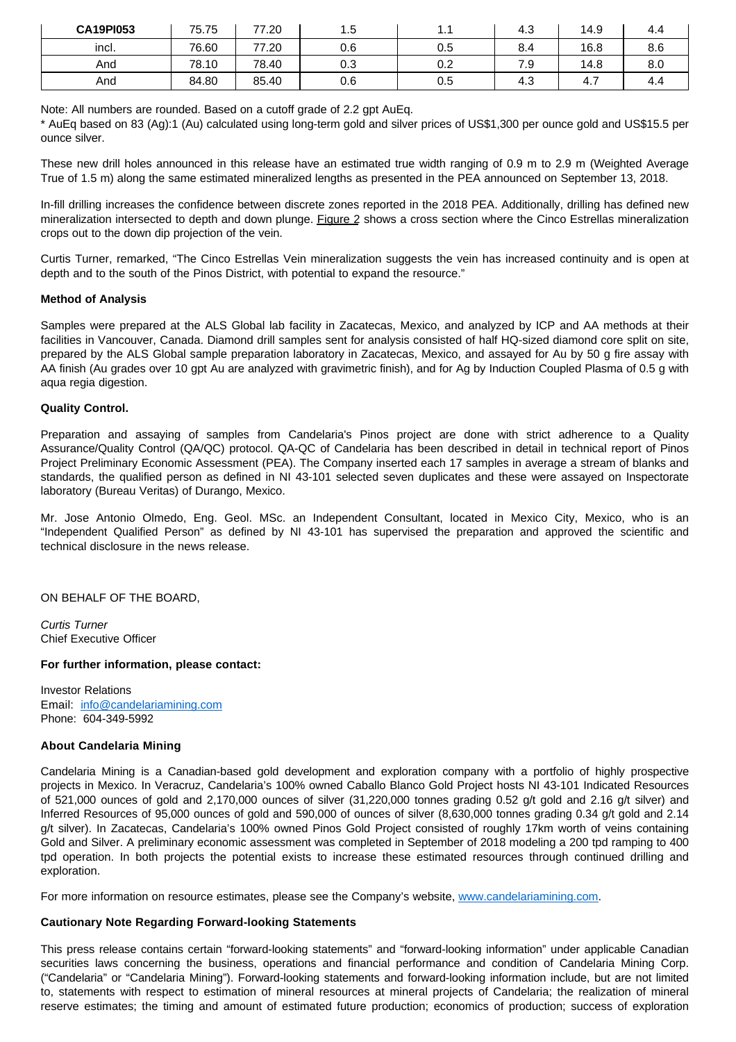| <b>CA19PI053</b> | 75.75 | 77.20 | 1.5 | . . | 4.3 | 14.9 | -4.4 |
|------------------|-------|-------|-----|-----|-----|------|------|
| incl.            | 76.60 | 77.20 | 0.6 | 0.5 | 8.4 | 16.8 | 8.6  |
| And              | 78.10 | 78.40 | 0.3 | 0.2 | 7.9 | 14.8 | 8.0  |
| And              | 84.80 | 85.40 | 0.6 | 0.5 | 4.3 | 4.,  | 4.4  |

Note: All numbers are rounded. Based on a cutoff grade of 2.2 gpt AuEq.

\* AuEq based on 83 (Ag):1 (Au) calculated using long-term gold and silver prices of US\$1,300 per ounce gold and US\$15.5 per ounce silver.

These new drill holes announced in this release have an estimated true width ranging of 0.9 m to 2.9 m (Weighted Average True of 1.5 m) along the same estimated mineralized lengths as presented in the PEA announced on September 13, 2018.

In-fill drilling increases the confidence between discrete zones reported in the 2018 PEA. Additionally, drilling has defined new mineralization intersected to depth and down plunge. Figure 2 shows a cross section where the Cinco Estrellas mineralization crops out to the down dip projection of the vein.

Curtis Turner, remarked, "The Cinco Estrellas Vein mineralization suggests the vein has increased continuity and is open at depth and to the south of the Pinos District, with potential to expand the resource."

## **Method of Analysis**

Samples were prepared at the ALS Global lab facility in Zacatecas, Mexico, and analyzed by ICP and AA methods at their facilities in Vancouver, Canada. Diamond drill samples sent for analysis consisted of half HQ-sized diamond core split on site, prepared by the ALS Global sample preparation laboratory in Zacatecas, Mexico, and assayed for Au by 50 g fire assay with AA finish (Au grades over 10 gpt Au are analyzed with gravimetric finish), and for Ag by Induction Coupled Plasma of 0.5 g with aqua regia digestion.

## **Quality Control.**

Preparation and assaying of samples from Candelaria's Pinos project are done with strict adherence to a Quality Assurance/Quality Control (QA/QC) protocol. QA-QC of Candelaria has been described in detail in technical report of Pinos Project Preliminary Economic Assessment (PEA). The Company inserted each 17 samples in average a stream of blanks and standards, the qualified person as defined in NI 43-101 selected seven duplicates and these were assayed on Inspectorate laboratory (Bureau Veritas) of Durango, Mexico.

Mr. Jose Antonio Olmedo, Eng. Geol. MSc. an Independent Consultant, located in Mexico City, Mexico, who is an "Independent Qualified Person" as defined by NI 43-101 has supervised the preparation and approved the scientific and technical disclosure in the news release.

ON BEHALF OF THE BOARD,

Curtis Turner Chief Executive Officer

### **For further information, please contact:**

Investor Relations Email: [info@candelariamining.com](mailto:info@candelariamining.com) Phone: 604-349-5992

### **About Candelaria Mining**

Candelaria Mining is a Canadian-based gold development and exploration company with a portfolio of highly prospective projects in Mexico. In Veracruz, Candelaria's 100% owned Caballo Blanco Gold Project hosts NI 43-101 Indicated Resources of 521,000 ounces of gold and 2,170,000 ounces of silver (31,220,000 tonnes grading 0.52 g/t gold and 2.16 g/t silver) and Inferred Resources of 95,000 ounces of gold and 590,000 of ounces of silver (8,630,000 tonnes grading 0.34 g/t gold and 2.14 g/t silver). In Zacatecas, Candelaria's 100% owned Pinos Gold Project consisted of roughly 17km worth of veins containing Gold and Silver. A preliminary economic assessment was completed in September of 2018 modeling a 200 tpd ramping to 400 tpd operation. In both projects the potential exists to increase these estimated resources through continued drilling and exploration.

For more information on resource estimates, please see the Company's website, [www.candelariamining.com.](http://www.candelariamining.com/)

## **Cautionary Note Regarding Forward-looking Statements**

This press release contains certain "forward-looking statements" and "forward-looking information" under applicable Canadian securities laws concerning the business, operations and financial performance and condition of Candelaria Mining Corp. ("Candelaria" or "Candelaria Mining"). Forward-looking statements and forward-looking information include, but are not limited to, statements with respect to estimation of mineral resources at mineral projects of Candelaria; the realization of mineral reserve estimates; the timing and amount of estimated future production; economics of production; success of exploration